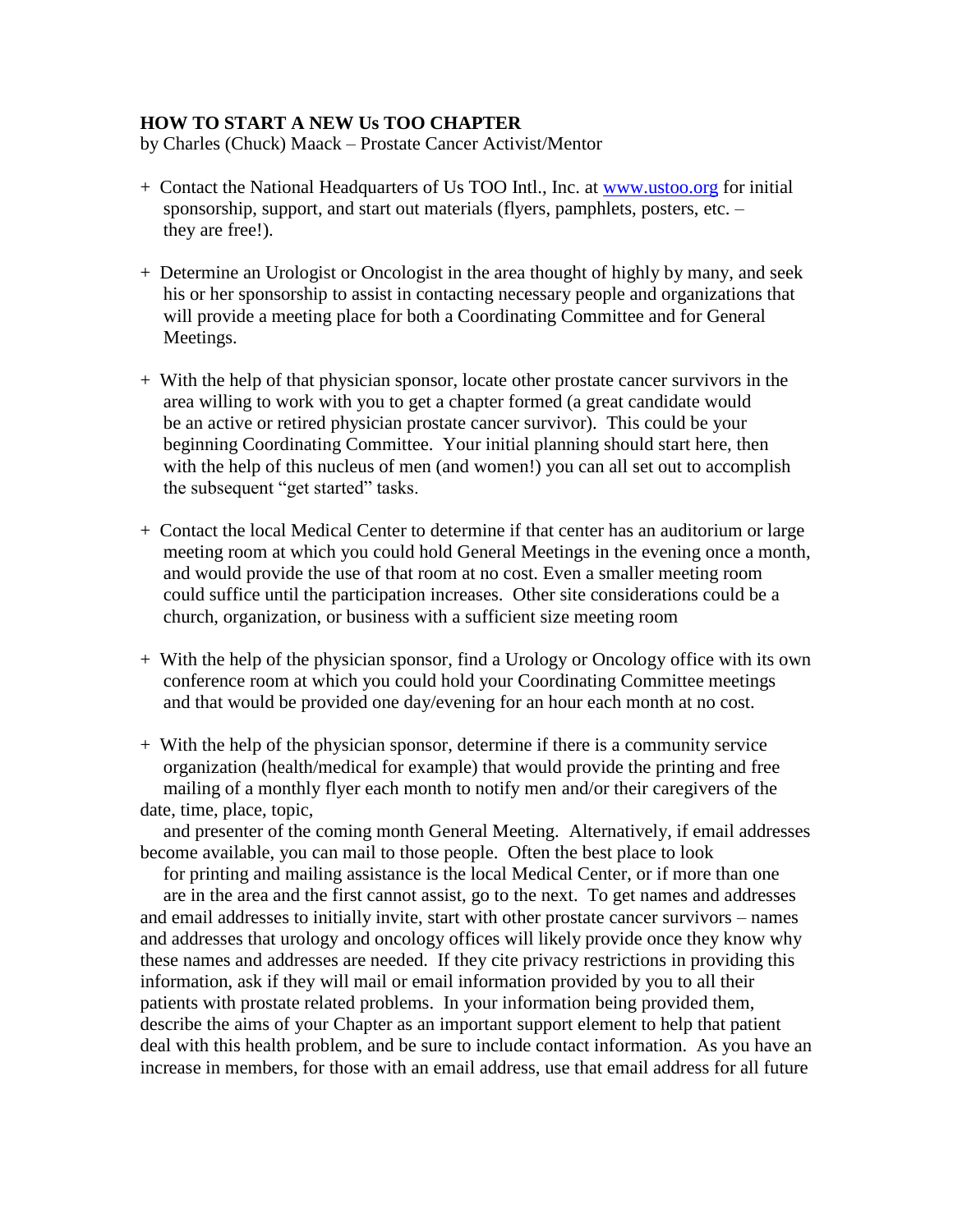## **HOW TO START A NEW Us TOO CHAPTER**

by Charles (Chuck) Maack – Prostate Cancer Activist/Mentor

- + Contact the National Headquarters of Us TOO Intl., Inc. at [www.ustoo.org](http://www.ustoo.org/) for initial sponsorship, support, and start out materials (flyers, pamphlets, posters, etc. – they are free!).
- + Determine an Urologist or Oncologist in the area thought of highly by many, and seek his or her sponsorship to assist in contacting necessary people and organizations that will provide a meeting place for both a Coordinating Committee and for General Meetings.
- + With the help of that physician sponsor, locate other prostate cancer survivors in the area willing to work with you to get a chapter formed (a great candidate would be an active or retired physician prostate cancer survivor). This could be your beginning Coordinating Committee. Your initial planning should start here, then with the help of this nucleus of men (and women!) you can all set out to accomplish the subsequent "get started" tasks.
- + Contact the local Medical Center to determine if that center has an auditorium or large meeting room at which you could hold General Meetings in the evening once a month, and would provide the use of that room at no cost. Even a smaller meeting room could suffice until the participation increases. Other site considerations could be a church, organization, or business with a sufficient size meeting room
- + With the help of the physician sponsor, find a Urology or Oncology office with its own conference room at which you could hold your Coordinating Committee meetings and that would be provided one day/evening for an hour each month at no cost.
- + With the help of the physician sponsor, determine if there is a community service organization (health/medical for example) that would provide the printing and free mailing of a monthly flyer each month to notify men and/or their caregivers of the date, time, place, topic,

 and presenter of the coming month General Meeting. Alternatively, if email addresses become available, you can mail to those people. Often the best place to look

 for printing and mailing assistance is the local Medical Center, or if more than one are in the area and the first cannot assist, go to the next. To get names and addresses and email addresses to initially invite, start with other prostate cancer survivors – names and addresses that urology and oncology offices will likely provide once they know why these names and addresses are needed. If they cite privacy restrictions in providing this information, ask if they will mail or email information provided by you to all their patients with prostate related problems. In your information being provided them, describe the aims of your Chapter as an important support element to help that patient deal with this health problem, and be sure to include contact information. As you have an increase in members, for those with an email address, use that email address for all future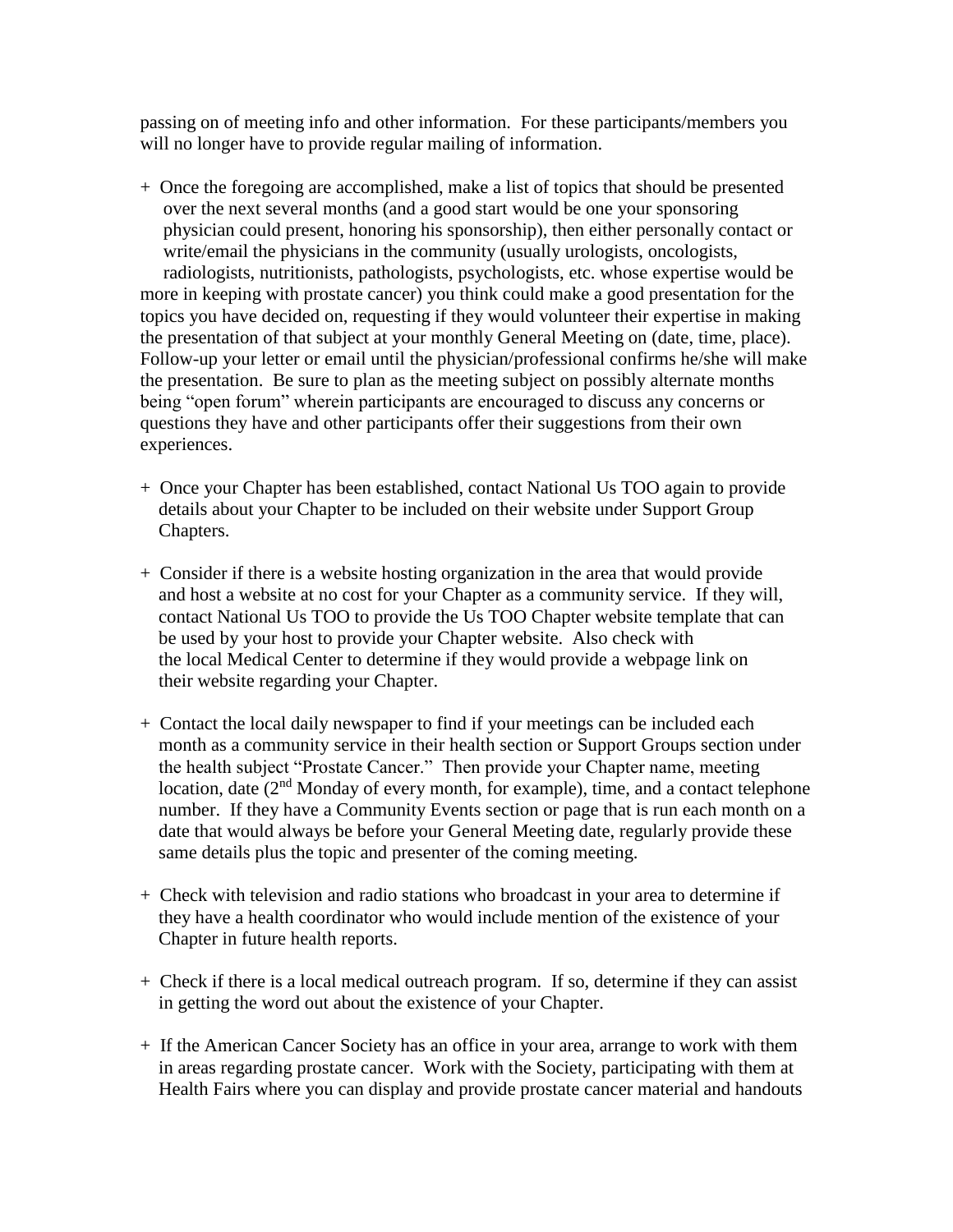passing on of meeting info and other information. For these participants/members you will no longer have to provide regular mailing of information.

- + Once the foregoing are accomplished, make a list of topics that should be presented over the next several months (and a good start would be one your sponsoring physician could present, honoring his sponsorship), then either personally contact or write/email the physicians in the community (usually urologists, oncologists, radiologists, nutritionists, pathologists, psychologists, etc. whose expertise would be more in keeping with prostate cancer) you think could make a good presentation for the topics you have decided on, requesting if they would volunteer their expertise in making the presentation of that subject at your monthly General Meeting on (date, time, place). Follow-up your letter or email until the physician/professional confirms he/she will make the presentation. Be sure to plan as the meeting subject on possibly alternate months being "open forum" wherein participants are encouraged to discuss any concerns or questions they have and other participants offer their suggestions from their own experiences.
- + Once your Chapter has been established, contact National Us TOO again to provide details about your Chapter to be included on their website under Support Group Chapters.
- + Consider if there is a website hosting organization in the area that would provide and host a website at no cost for your Chapter as a community service. If they will, contact National Us TOO to provide the Us TOO Chapter website template that can be used by your host to provide your Chapter website. Also check with the local Medical Center to determine if they would provide a webpage link on their website regarding your Chapter.
- + Contact the local daily newspaper to find if your meetings can be included each month as a community service in their health section or Support Groups section under the health subject "Prostate Cancer." Then provide your Chapter name, meeting location, date  $(2<sup>nd</sup>$  Monday of every month, for example), time, and a contact telephone number. If they have a Community Events section or page that is run each month on a date that would always be before your General Meeting date, regularly provide these same details plus the topic and presenter of the coming meeting.
- + Check with television and radio stations who broadcast in your area to determine if they have a health coordinator who would include mention of the existence of your Chapter in future health reports.
- + Check if there is a local medical outreach program. If so, determine if they can assist in getting the word out about the existence of your Chapter.
- + If the American Cancer Society has an office in your area, arrange to work with them in areas regarding prostate cancer. Work with the Society, participating with them at Health Fairs where you can display and provide prostate cancer material and handouts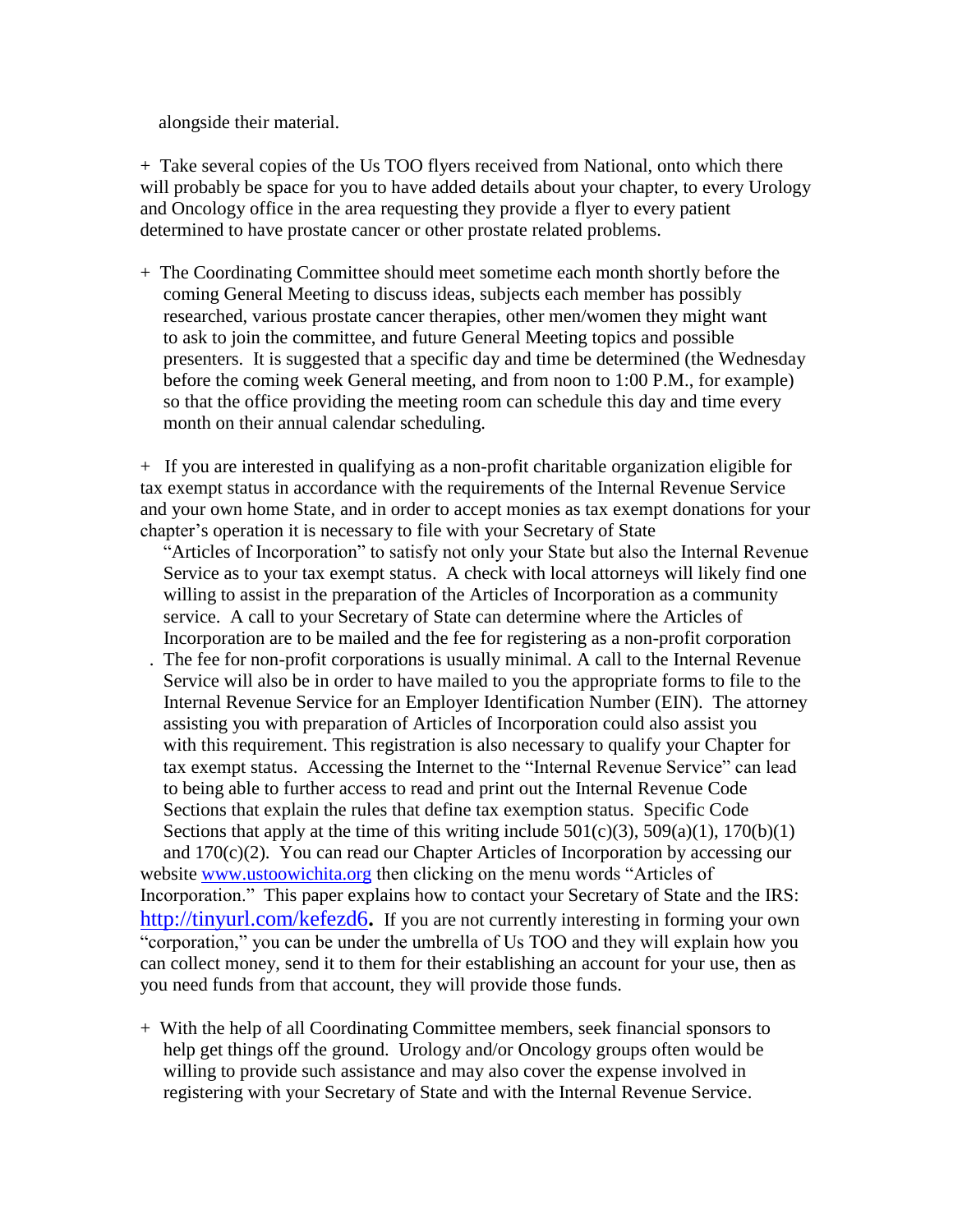alongside their material.

+ Take several copies of the Us TOO flyers received from National, onto which there will probably be space for you to have added details about your chapter, to every Urology and Oncology office in the area requesting they provide a flyer to every patient determined to have prostate cancer or other prostate related problems.

+ The Coordinating Committee should meet sometime each month shortly before the coming General Meeting to discuss ideas, subjects each member has possibly researched, various prostate cancer therapies, other men/women they might want to ask to join the committee, and future General Meeting topics and possible presenters. It is suggested that a specific day and time be determined (the Wednesday before the coming week General meeting, and from noon to 1:00 P.M., for example) so that the office providing the meeting room can schedule this day and time every month on their annual calendar scheduling.

+ If you are interested in qualifying as a non-profit charitable organization eligible for tax exempt status in accordance with the requirements of the Internal Revenue Service and your own home State, and in order to accept monies as tax exempt donations for your chapter's operation it is necessary to file with your Secretary of State

 "Articles of Incorporation" to satisfy not only your State but also the Internal Revenue Service as to your tax exempt status. A check with local attorneys will likely find one willing to assist in the preparation of the Articles of Incorporation as a community service. A call to your Secretary of State can determine where the Articles of Incorporation are to be mailed and the fee for registering as a non-profit corporation

- . The fee for non-profit corporations is usually minimal. A call to the Internal Revenue Service will also be in order to have mailed to you the appropriate forms to file to the Internal Revenue Service for an Employer Identification Number (EIN). The attorney assisting you with preparation of Articles of Incorporation could also assist you with this requirement. This registration is also necessary to qualify your Chapter for tax exempt status. Accessing the Internet to the "Internal Revenue Service" can lead to being able to further access to read and print out the Internal Revenue Code Sections that explain the rules that define tax exemption status. Specific Code Sections that apply at the time of this writing include  $501(c)(3)$ ,  $509(a)(1)$ ,  $170(b)(1)$  and 170(c)(2). You can read our Chapter Articles of Incorporation by accessing our website [www.ustoowichita.org](http://www.ustoowichita.org/) then clicking on the menu words "Articles of Incorporation." This paper explains how to contact your Secretary of State and the IRS: <http://tinyurl.com/kefezd6>**.** If you are not currently interesting in forming your own "corporation," you can be under the umbrella of Us TOO and they will explain how you can collect money, send it to them for their establishing an account for your use, then as you need funds from that account, they will provide those funds.
- + With the help of all Coordinating Committee members, seek financial sponsors to help get things off the ground. Urology and/or Oncology groups often would be willing to provide such assistance and may also cover the expense involved in registering with your Secretary of State and with the Internal Revenue Service.